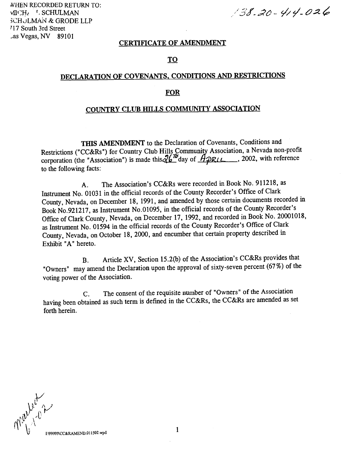WHEN RECORDED RETURN TO: vllt:H! '. SCFIULMAN SCHULMAN & GRODE LLP 717 South 3rd Street Las Vegas, NV 89101

 $138.20 - 414.026$ 

#### CERTIFICATE OF AMENDMENT

### TO

## DECLARATION OF COVENANTS, CONDITIONS AND RESTRICTIONS

#### **FOR**

#### COUNTRY CLUB HILLS COMMUNITY ASSOCIATION

THIS AMENDMENT to the Declaration of Covenants, Conditions and Restrictions ("CC&Rs") for Country Club Hills Community Association, a Nevada non-profit corporation (the "Association") is made this  $26^{7b}$  day of  $\cancel{A}$ PRIL ..., 2002, with reference to the following facts:

The Association's CC&Rs were recorded in Book No. 911218, as А. Instrument No. 01031 in the official records of the County Recorder's Office of Clark County, Nevada, on December 18, 1991, and amended by those certain documents recorded in Book No.921217, as Instrument No.01095, in the official records of the County Recorder's Office of Clark County, Nevada, on December 17, 1992, and recorded in Book No. 20001018, as Instrument No. 01594 in the official records of the County Recorder's Office of Clark County, Nevada, on October 18, 2000, and encumber that certain property described in Exhibit "A" hereto.

Article XV, Section 15.2(b) of the Association's CC&Rs provides that  $B<sub>1</sub>$ "Owners" may amend the Declaration upon the approval of sixty-seven percent (67%) of the voting power of the Association.

The consent of the requisite number of "Owners" of the Association  $C_{\cdot}$ having been obtained as such term is defined in the CC&Rs, the CC&Rs are amended as set forth herein.

Well 10 2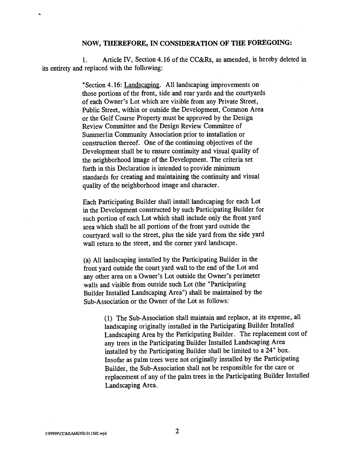## NOW, THEREFORE, IN CONSIDERATION OF THE FOREGOING:

1. Article IV, Section 4.16 of the CC&Rs, as amended, is hereby deleted in its entirety and replaced with the following:

> "Section 4.16: Landscaping. All landscaping improvements on those portions of the front, side and rear yards and the courtyards of each Owner's Lot which are visible from any Private Street, Public Street, within or outside the Development, Common Area or the Golf Course Property must be approved by the Design Review Committee and the Design Review Committee of Summerlin Community Association prior to installation or construction thereof. One of the continuing objectives of the Development shall be to ensure continuity and visual quality of the neighborhood image of the Development. The criteria set forth in this Declaration is intended to provide minimum standards for creating and maintaining the continuity and visual quality of the neighborhood image and character.

> Each Participating Builder shall install landscaping for each Lot in the Development constructed by such Participating Builder for such portion of each Lot which shall include, only the front yard area which shall be all portions of the front yard outside the courtyard wall to the Street, plus the side yard from the side yard wall return to the street, and the corner yard landscape.

(a) All landscaping installed by the Participating Builder in the front yard outside the court yard wall to the end of the Lot and any other area on a Owner's Lot outside the Owner's perimeter walls and visible from outside such Lot (the "Participating Builder Installed Landscaping Area") shall be maintained by the Sub-Association or the Owner of the Lot as follows:

> (1) The Sub-Association shall maintain and replace, at its expense, all landscaping originally installed in the Participating Builder Installed Landscaping Area by the Participating Builder. The replacement cost of any trees in the Participating Builder Installed Landscaping Area installed by the Participating Builder shall be limited to a 24" box. Insofar as palm trees were not originally installed by the Participating Builder, the Sub-Association shall not be responsible for the care or replacement of any of the palm trees in the Participating Builder Installed Landscaping Area.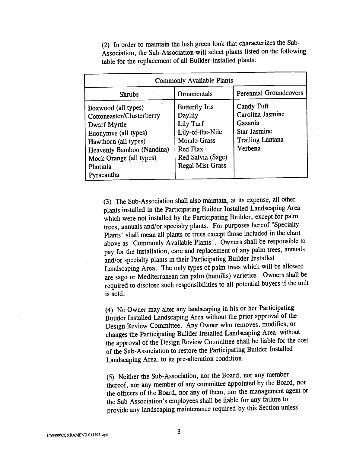(2) In order to maintain the lush green look that characterizes the Sub-Association, the Sub-Association will select plants listed on the following table for the replacement of all Builder-installed plants:

| <b>Commonly Available Plants</b>                                                                                                                                                                   |                                                                                                                                              |                                                                                                        |
|----------------------------------------------------------------------------------------------------------------------------------------------------------------------------------------------------|----------------------------------------------------------------------------------------------------------------------------------------------|--------------------------------------------------------------------------------------------------------|
| <b>Shrubs</b>                                                                                                                                                                                      | Ornamentals                                                                                                                                  | <b>Perennial Groundcovers</b>                                                                          |
| Boxwood (all types)<br>Cottoneaster/Clusterberry<br>Dwarf Myrtle<br>Euonymus (all types)<br>Hawthorn (all types)<br>Heavenly Bamboo (Nandina)<br>Mock Orange (all types)<br>Photinia<br>Pyracantha | Butterfly Iris<br>Daylily<br>Lily Turf<br>Lily-of-the-Nile<br><b>Mondo Grass</b><br>Red Flax<br>Red Salvia (Sage)<br><b>Regal Mist Grass</b> | Candy Tuft<br>Carolina Jasmine<br>Gazania<br><b>Star Jasmine</b><br><b>Trailing Lantana</b><br>Verbena |

(3) The Sub-Association shall also maintain, at its expense, all other plants installed in the Participating Builder Installed Landscaping Area which were not installed by the Participating Builder, except for palm trees, annuals and/or specialty plants. For purposes hereof "Specialty Plants" shall mean all plants or trees except those included in the chart above as "Commonly Available Plants". Owners shall be responsible to pay for the installation, care and replacement of any palm trees, annuals and/or specialty plants in their Participating Builder Installed Landscaping Area. The only types of palm trees which will be allowed are sago or Mediterranean fan palm (humilis) varieties. Owners shall be required to disclose such responsibilities to all potential buyers if the unit is sold.

No Owner may alter any landscaping in his or her Participating Builder Installed Landscaping Area without the prior approval of the Design Review Committee. Any Owner who removes, modifies, or changes the Participating Builder Installed Landscaping Area without the approval of the Design Review Committee shall be liable for the cost of the Sub-Association to restore the Participating Builder Installed Landscaping Area, to its pre-alteration condition.

(5) Neither the Sub-Association, nor the Board, nor any member thereof, nor any member of any committee appointed by the Board, nor the officers of the Board, nor any of them, nor the management agent or the Sub-Association's employees shall be liable for any failure to provide any landscaping maintenance required by this Section unless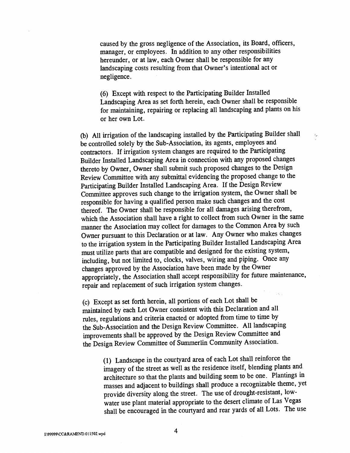caused by the gross negligence of the Association, its Board, officers, manager, or employees. In addition to any other responsibilities hereunder, or at law, each Owner shall be responsible for any landscaping costs resulting from that Owner's intentional act or negligence.

(6) Except with respect to the Participating Builder Installed Landscaping Area as set forth herein, each Owner shall be responsible for maintaining, repairing or replacing all landscaping and plants on his or her own Lot.

All irrigation of the landscaping installed by the Participating Builder shall be controlled solely by the Sub-Association, its agents, employees and contractors. If irrigation system changes are required to the Participating Builder Installed Landscaping Area in connection with any proposed changes thereto by Owner, Owner shall submit such proposed changes to the Design Review Committee with any submittal evidencing the proposed change to the Participating Builder Installed Landscaping Area. If the Design Review Committee approves such change to the irrigation system, the Owner shall be responsible for having a qualified person make such changes and the cost thereof. The Owner shall be responsible for all damages arising therefrom, which the Association shall have a right to collect from such Owner in the same manner the Association may collect for damages to the Common Area by such Owner pursuant to this Declaration or at law. Any Owner who makes changes to the irrigation system in the Participating Builder Installed Landscaping Area must utilize parts that are compatible and designed for the existing system, including, but not limited to, clocks, valves, wiring and piping. Once any changes approved by the Association have been made by the Owner appropriately, the Association shall accept responsibility for future maintenance, repair and replacement of such irrigation system changes.

Except as set forth herein, all portions of each Lot shall be maintained by èach Lot Owner consistent with this Declaration and all rules, regulations and criteria enacted or adopted from time to time by the Sub-Association and the Design Review Committee. All landscaping improvements shall be approved by the Design Review Committee and the Design Review Committee of Summerlin Community Association.

> (1) Landscape in the courtyard area of each Lot shall reinforce the imagery of the Street as well as the residence itself, blending plants and architecture so that the plants and building seem to be one. Plantings in masses and adjacent to buildings shall produce a recognizable theme, yet provide diversity along the Street. The use of drought-resistant, lowwater use plant material appropriate to the desert climate of Las Vegas shall be encouraged in the courtyard and rear yards of all Lots. The use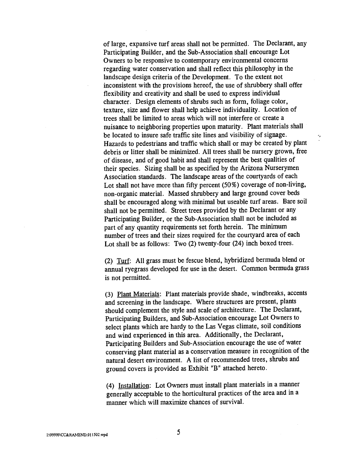of large, expansive turf areas shall not be permitted. The Declarant, any Participating Builder, and the Sub-Association shall encourage Lot Owners to be responsive to contemporary environmental concerns regarding water conservation and shall reflect this philosophy in the landscape design criteria of the Development. To the extent not inconsistent with the provisions hereof, the use of shrubbery shall offer flexibility and creativity and shall be used to express individual character. Design elements of shrubs such as form, foliage color, texture, size and flower shall help achieve individuality. Location of trees shall be limited to areas which will not interfere or create a nuisance to neighboring properties upon maturity. Plant materials shall be located to insure safe traffic site lines and visibility of signage. Hazards to pedestrians and traffic which shall or may be created by plant debris or litter shall be minimized. All trees shall be nursery grown, free of disease, and of good habit and shall represent the best qualities of their species. Sizing shall be as specified by the Arizona Nurserymen Association standards. The landscape areas of the courtyards of each Lot shall not have more than fifty percent (50%) coverage of non-living, non-organic material. Massed shrubbery and large ground cover beds shall be encouraged along with minimal but useable turf areas. Bare soil shall not be permitted. Street trees provided by the Declarant or any Participating Builder, or the Sub-Association shall not be included as part of any quantity requirements set forth herein. The minimum number of trees and their sizes required for the courtyard area of each Lot shall be as follows: Two (2) twenty-four (24) inch boxed trees.

×,

(2) Turf: All grass must be fescue blend, hybridized bermuda blend or annual ryegrass developed for use in the desert. Common bermuda grass is not permitted.

(3) Plant Materials: Plant materials provide shade, windbreaks, accents and screening in the landscape. Where structures are present, plants should complement the style and scale of architecture. The Declarant, Participating Builders, and Sub-Association encourage Lot Owners to select plants which are hardy to the Las Vegas climate, soil conditions and wind experienced in this area. Additionally, the Declarant, Participating Builders and Sub-Association encourage the use of water conserving plant material as a conservation measure in recognition of the natural desert environment. A list of recommended trees, shrubs and ground covers is provided as Exhibit "B" attached hereto.

(4) Installation: Lot Owners must install plant materials in a manner generally acceptable to the horticultural practices of the area and in a manner which will maximize chances of survival.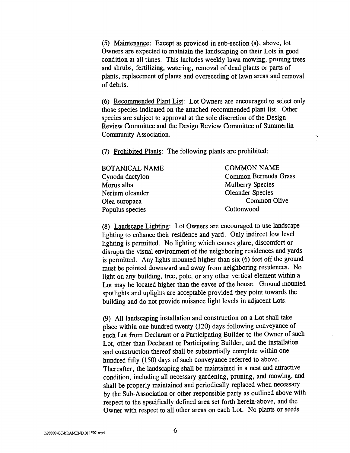(5) Maintenance: Except as provided in sub-section (a), above, lot Owners are expected to maintain the landscaping on their Lots in good condition at all times. This includes weekly lawn mowing, pruning trees and shrubs, fertilizing, watering, removal of dead plants or parts of plants, replacement of plants and overseeding of lawn areas and removal of debris.

Recommended Plant List: Lot Owners are encouraged to select only those species indicated on the attached recommended plant list. Other species are subject to approval at the sole discretion of the Design Review Committee and the Design Review Committee of Summerlin Community Association.

×,

(7) Prohibited Plants: The following plants are prohibited:

| BOTANICAL NAME  | <b>COMMON NAME</b>      |  |
|-----------------|-------------------------|--|
| Cynodn dactylon | Common Bermuda Grass    |  |
| Morus alba      | <b>Mulberry Species</b> |  |
| Nerium oleander | <b>Oleander Species</b> |  |
| Olea europaea   | Common Olive            |  |
| Populus species | Cottonwood              |  |
|                 |                         |  |

Landscape Lighting: Lot Owners are encouraged to use landscape lighting to enhance their residence and yard. Only indirect low level lighting is permitted. No lighting which causes glare, discomfort or disrupts the visual environment of the neighboring residences and yards is permitted. Any lights mounted higher than six (6) feet off the ground must be pointed downward and away from neighboring residences. No light on any building, tree, pole, or any other vertical element within a Lot may be located higher than the eaves of the house. Ground mounted spotlights and uplights are acceptable provided they point towards the building and do not provide nuisance light levels in adjacent Lots.

All landscaping installation and construction on a Lot shall take place within one hundred twenty (120) days following conveyance of such Lot from Declarant or a Participating Builder to the Owner of such Lot, other than Declarant or Participating Builder, and the installation and construction thereof shall be substantially complete within one hundred fifty (150) days of such conveyance referred to above. Thereafter, the landscaping shall be maintained in a neat and attractive condition, including all necessary gardening, pruning, and mowing, and shall be properly maintained and periodically replaced when necessary by the Sub-Association or other responsible party as outlined above with respect to the specifically defined area set forth herein-above, and the Owner with respect to all other areas on each Lot. No plants or seeds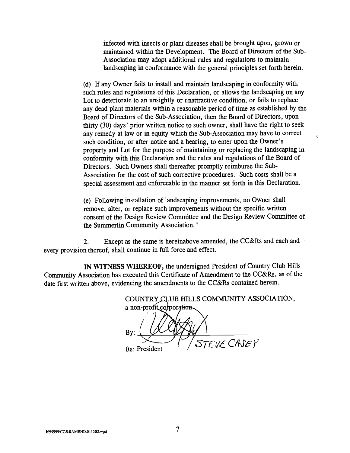infected with insects or plant diseases shall be brought upon, grown or maintained within the Development. The Board of Directors of the Sub-Association may adopt additional rules and regulations to maintain landscaping in conformance with the general principles set forth herein.

If any Owner fails to install and maintain landscaping in conformity with such rules and regulations of this Declaration, or allows the landscaping on any Lot to deteriorate to an unsightly or unattractive condition, or fails to replace any dead plant materials within a reasonable period of time as established by the Board of Directors of the Sub-Association, then the Board of Directors, upon thirty (30) days' prior written notice to such owner, shall have the right to seek any remedy at law or in equity which the Sub-Association may have to correct such condition, or after notice and a hearing, to enter upon the Owner's property and Lot for the purpose of maintaining or replacing the landscaping in conformity with this Declaration and the rules and regulations of the Board of Directors. Such Owners shall thereafter promptly reimburse the Sub-Association for the cost of such corrective procedures. Such costs shall be a special assessment and enforceable in the manner set forth in this Declaration.

Following installation of landscaping improvements, no Owner shall remove, alter, or replace such improvements without the specific written consent of the Design Review Committee and the Design Review Committee of the Summerlin Community Association."

2. Except as the same is hereinabove amended, the CC&Rs and each and every provision thereof, shall continue in full force and effect.

IN WITNESS WHEREOF, the undersigned President of Country Club Hills Community Association has executed this Certificate of Amendment to the CC&Rs, as of the date first written above, evidencing the amendments to the CC&Rs contained herein.

COUNTRY CLUB HILLS COMMUNITY ASSOCIATION, a non-profit corporation By: Its: President STEVE CASEY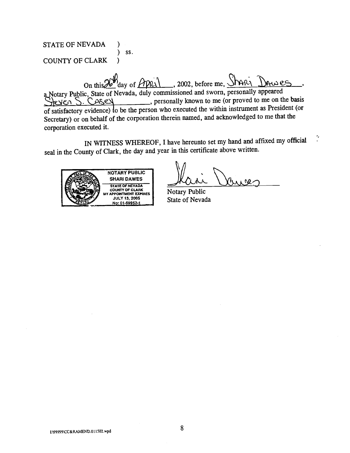STATE OF NEVADA ) ) SS. COUNTY OF CLARK )

On this 26th day of April , 2002, before me, Shari Dawes a Notary Public, State of Nevada, duly commissioned and sworn, personally appeared cUi S. , personally known tó me (or proved to me on the basis of satisfactory evidence) to be the person who executed the within instrument as President (or Secretary) or on behalf of the corporation therein named, and acknowledged to me that the corporation executed it.

IN WITNESS WHEREOF, I have hereunto set my hand and affixed my official  $\frac{1}{2}$ seal in the County of Clark, the day and year in this certificate above written.



Notary Public State of Nevada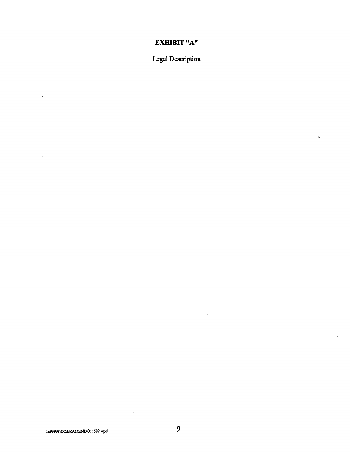## EXHIBIT "A"

Legal Description

 $\ddot{\cdot}$ 

 $\lambda$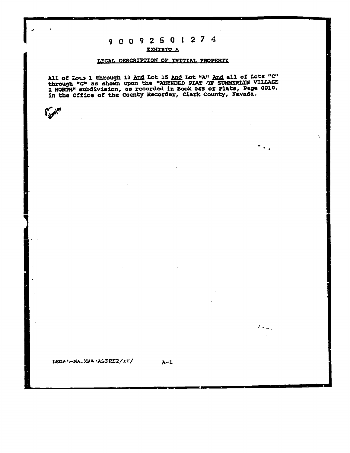## 9 0 0 9 2 5 0 1 2 7 4

## EXHIBIT A

#### LEGAL DESCRIPTION OF INITIAL PROPERTY

All of Lous 1 through 13 And Lot 15 And Lot "A" And all of Lots "C" through "G" as shown upon the "AMENDED PLAT OF SUMMERLIN VILLAGE 1 NORTH" subdivision, as recorded in Book 045 of Plats, Page 0010, in the Office of the C

 $A-1$ 

×,

..,

 $\sigma_{\rm{max}}$ 

LEGA " - MA. XHA ' ASPREZ/II/

 $\int_{-\infty}^{\infty}$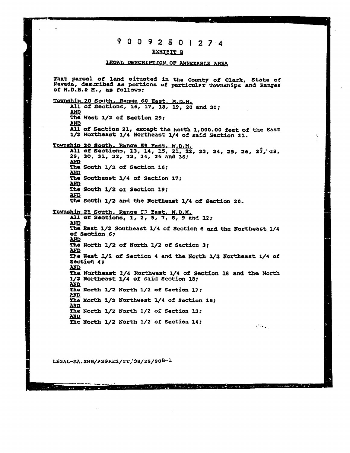## 9 0 0 9 2 5 0 1 2 7 4

#### **EXHIBIT B**

#### LEGAL DESCRIPTION OF ANNEXABLE AREA

That parcel of land situated in the county of Clark, State of Nevada, described as portions of particular Townships and Ranges of M.D.B.& M., as follows: Township 20 South. Range 60 East, M.D.M. All of Sections, 16, 17, 18, 19, 20 and 30; **AND** The West 1/2 of Section 29; **AND** All of Section 21, except the North 1,000.00 feet of the East 1/2 Northeast 1/4 Northeast 1/4 of said Section 21. Township 20 South. Range 59 Fast. M.D.M.<br>All of Sections, 13, 14, 15, 21, 22, 23, 24, 25, 26, 27, 28, 29, 30, 31, 32, 33, 34, 35 and 36; **AND** The South 1/2 of Section 16; **AND The Southeast 1/4 of Section 17;** AND The South 1/2 or Section 19; **AXID** The South 1/2 and the Northeast 1/4 of Section 20. Township 21 South. Range 53 East, M.D.M. All of Sections, 1, 2, 5, 7, 8, 9 and 12; **AND** The East 1/2 Southeast 1/4 of Section 6 and the Northeast 1/4 of Section 6; **AND** The North 1/2 of North 1/2 of Section 3; **AND** The West 1/2 of Section 4 and the North 1/2 Northeast 1/4 of Section (; **AND** The Northeast 1/4 Northwest 1/4 of Section 18 and the North 1/2 Northeast 1/4 of said Section 18; **AND** The North 1/2 North 1/2 of Section 17; **PAID** The North 1/2 Northwest 1/4 of Section 16; **AND** The North 1/2 North 1/2 of Section 13; **AND** The North 1/2 North 1/2 of Section 14;  $\sigma_{\rm{max}}$ 

医肠结肠 机乙二烯 经原始 计设备管理 化双元烷基 电磁性电压 化硫酸盐

LEGAL-MA.XHB/ASPRE2/Fr, 08/29/90B-1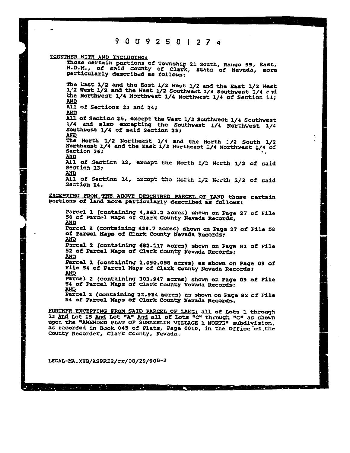90 9250127 <sup>q</sup>

TOGETHER WITH AND INCLUDING:

Ġ

Those certain portions of Township 21 South, Range 59, East, 14.D.M., o! said County of Clark. State of Nevada, more particularly described as follows: The Last 1/2 and the East 1/2 West 1/2 and the East 1/2 West  $1/2$  West  $1/2$  and the West  $1/2$  Southwest  $1/4$  Southwest  $1/4$  and the Northwest 1/4 Northwest 1/4 Northwest 1/4 of Section 11; All of Sections 23 and 24;<br>AND AU. of Sectio,i 25, except the West 1/2 Southwest 1/4 Southwest 1/4 and also excepting the Southwest i/4 Northwest 1/4 Southwest 1/4 of said Section 25; MR The North 1/2 Northeast 1/4 and the North 1/2 South 1/2<br>Northeast 1/4 and the East 1/2 Northeast 1/4 Northwest 1/4 of<br>Section 36;<br>AND<br>All of Section 13, except the North 1/2 North 1/2 of said<br>Section 13;<br>AND All of Section 14, except tha North 1/2 North 1/2 of said Section 14. EXCEPTING FROM THE ABOVE DESCRIBED PARCEL OF LAND those certain portions of land mors particularly described as follows: Parcel 1 (containing 4,863.2 acres) shewn on Page 27 of File 58 of Parcel Maps of Clark County Nevada Records, Parcel 2 (containing 438.7 acres) shown en Paga 27 of Pile 58 of Parcel Maps of Clark County Nevada Records: Parcel 2 (containing 682.11? acres) shown on Page 83 of Pile 52 of Parcel Maps of Clark County Nevada Records;  $\frac{N}{N}$ Parcel i (containing 1,050.058 acres) as shown en Page 09 of Pile 54 of Parcel Maps of Clark County Nevada Records; Parcel 2 (containing 303.947 acres) shown on Page 09 of Pile 54 of Parcel Maps of Clark County Nevada Records; MR Parcel 2 (containing 22.934 acres) as shown on Page 82 of Pile <sup>54</sup> of Parcel Maps of Clark County Nevada Records.

**I** 

FURTHER EXCEPTING FROM SAID PARCEL OF LANC: all of Lots 1 through 13 And Lot 15 And Lot "A" And all of Lots "C" through "G" as shown upon the "AMENDED PLAT OP SUMMERLIN VILLAGE 1 NORTH" subdivision, as recorded in Buok 045 of Plats, Page 0015, in the Office of the County Recorder, Clark Ccunty, Nevada.

**A contract of the contract of the contract** 

LECAt-MA. XH8/?SPRE2/rr/}8/29/9OB-2

 $\mathcal{A}=\{A_1,\ldots,A_n\}$  .

 $\mathcal{L}^{\mathcal{L}}(\mathcal{L})$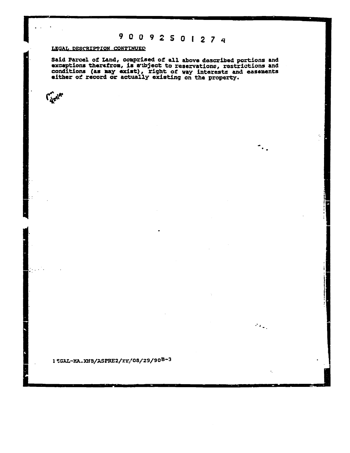# 9 0 0 9 2 5 0 1 2 7 4

 $\ddot{\phantom{1}}$  .

 $\mathcal{F}(\mathbf{r}_{\mathrm{max}})$ 

#### LEGAL DESCRIPTION CONTINUED

 $\mathcal{C}_{\mathcal{A}^{\mathcal{L}^{\mathcal{A}^{\prime}}}^{\mathcal{C}^{\prime}}}$ 

Said Parcel of Land, comprised of all above described portions and<br>exceptions therefrom, is subject to reservations, restrictions and<br>conditions (as may exist), right of way interests and easements<br>either of record or actu

15GAL-MA.XHB/ASPRE2/rr. 08/29/90B-3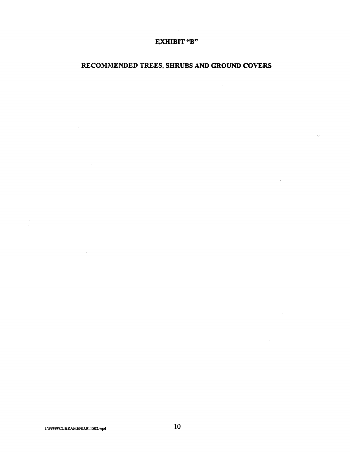## EXHIBIT "B"

 $\sim$ 

## RECOMMENDED TREES, SHRUBS AND GROUND COVERS

 $\hat{\mathcal{A}}$ 

 $\gamma$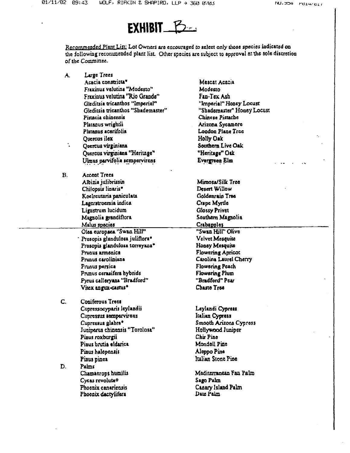

Recommended Plant List: Lot Owners are encouraged to select only those species indicated on the following recommended plant list. Other species are subject to approval at the sole discretion of the Committee.

| ۸.        | Large Trees                        |                            |
|-----------|------------------------------------|----------------------------|
|           | Acacia constricta <sup>v</sup>     | Mescat Acacia              |
|           | Fraxinus velutina "Modesto"        | Modesto                    |
|           | Fraxinus velutina "Rio Grande"     | Fan-Tex Ash                |
|           | Gleditsia tricanthos "Imperial"    | "Imperial" Honey Locust    |
|           | Gleditsia tricanthos "Shademaster" | "Shademaster" Honey Locust |
|           | Pistacia chinensis                 | Chinese Pistache           |
|           | Platanus wrightii                  | Arizona Sycamore           |
|           | Platanus acerifolia                | London Plane Tree          |
|           | Quercus ilex                       | Holly Oak                  |
| t.        | Quercus virginiana                 | Southern Live Oak          |
|           | Quercus virginiana "Heritage"      | "Heritage" Oak             |
|           | Ulmus parvifolia sempervirens      | Evergreen Elm              |
|           |                                    |                            |
| <b>B.</b> | <b>Accent Trees</b>                |                            |
|           | Albizia julibrissin                | Mimosa/Silk Tree           |
|           | Chilopsis linaris"                 | Desert Willow              |
|           | Koelreuteria paniculata            | Goldenrain Tree            |
|           | Lagerstroemia indica               | Crape Myrtle               |
|           | Ligustrum lucidum                  | <b>Glossy Privet</b>       |
|           | Magnolia grandiflora               | Southern Magnolia          |
|           | Malus species                      | Crabapples                 |
|           | Olsa europaca "Swan Hill"          | "Swan Hill" Olive          |
|           | Prosopis glandulosa juliflora*     | Velvet Mesquite            |
|           | Prosopis glandulosa torreyana*     | Honey Mesquite             |
|           | Prunus armenica                    | <b>Flowering Apricot</b>   |
|           | Prunus caroliniana                 | Carolina Laurel Cherry     |
|           | Prunus persica                     | <b>Flowering Peach</b>     |
|           | Prunus cerasifera hybrids          | Flowering Plum             |
|           | Pyrus calleryans "Bradford"        | "Bradford" Pear            |
|           | Vitex angux-castus*                | Chaste Tree                |
| C.        | Coniferous Trees                   |                            |
|           | Cupressocyparis leylandii          | Leylandi Cypress           |
|           | Cupressus sempervirens             | Italian Cypress            |
|           | Cupressus glabra <sup>®</sup>      | Smooth Arizona Cypress     |
|           | Juniperus chinensis "Torolosa"     | Hollywood Juniper          |
|           | Pinus roxburgii                    | Chir Pine                  |
|           | Piaus brutia eldarica              | Mondell Pine               |
|           | Pinus halepensis                   | Aleppo Pine                |
|           |                                    | Italian Stone Pine         |
|           | Pinus pinea                        |                            |
| D.        | Palms                              |                            |
|           | Chamaerops humilis                 | Mediterranean Fan Palm     |
|           | Cycas revolutao                    | Sago Palm                  |
|           | Phoenix canaricusis                | Canary Island Palm         |
|           | Phoenix dactylifera                | Date Palm                  |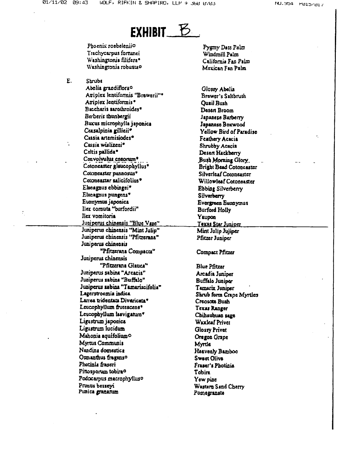

Phoenix roebeleniio Trachycarous fortunei Washingtonia filifera\* Washingtonia robustao

E. Shrubs Abelia grandiflora<sup>o</sup> Ariplex lentiformis "Brewerii"\* Atriplex lentiformis<sup>®</sup> Baccharis sarothroides\* Berberis thunbergii Bucus microphylla japonica Ceasalpinia gillicii\* Cassia artemisiodes<sup>+</sup> Cusia wislizeni\* Celtis pallida\* Convolvulus cneorum\* Cotoncaster glaucophyllus\* Cotoneaster pannosus\* Cotoneaster salicifolius\* Elacagnus chbingei\* Elacagnus pungens\* Euonymus japonica Ilex cornuta "burfordii" Ilex vomitoria Juniperus chinensis "Blue Vase" Juniperus chinensis "Mint Julip" Juniperus chinensis "Pfitzerana" Juniperus chinensis "Pfitzerana Compacta" Juniperus chinensis "Pfitzerana Giauca" Juniperus sabina "Arcacia" Juniperus sabina "Buffalo" Juniperus sabina "Tamariscifolia" Lagerstroemia indica Larrea tridentata Divericata\* Leucophyllum frutescens\* Leucophyllum laevigatum\* Ligustrum japonica Ligustrum lucidum Mahonia aquifolium**o** Myrtus Communis Nandina domestica Osmanthus fragans<sup>o</sup> Photinia fraseri Pittosporum tobira<sup>o</sup> Podocarpus macrophylluso Prunus bessevi Punica granatum

Pygmy Date Palm Windmill Palm California Fan Palm Mexican Fan Palm

Glossy Abelia Brower's Saltbrush **Ouail Bush** Desert Broom Japanese Barberry Japanese Boxwood Yellow Bird of Paradise Feathery Acacia Shrubby Acacia Desen Hackberry Bush Morning Glory. Bright Bead Cotoncaster Silverleaf Comneaster Willowleaf Cotoneaster Ebbing Silverberry Silverberry Evergraen Eucopymus **Burford Holly** Yaupon Texas Star Juniper Mint Julio Juliper Pfitzer Juniper Compact Pfitzer

**Blue Pfitzar** Arcadia Juniper Buffalo Juniper Tamarix Juniper Shrub form Crape Myrties Creosots Bush Texas Ranger Chihauhuan sage Waxleaf Privet Glossy Privet Oregon Grape **Myrtis** Heavenly Bamboo **Sweet Olive** Fraser's Photinia Tobira Yew pine Wastern Sand Cherry Pomegranate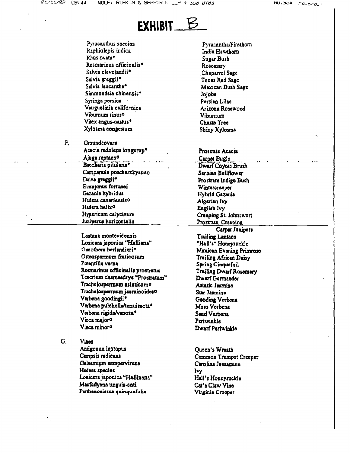

Pyracanthus species Raphiolepis indica Rhus ovata\* Rosmarinus officinalis\* Salvia clevelandii\* Salvia greggii<sup>e</sup> Salvia leucantha<sup>+</sup> Simmondsia chinensis\* Syringa persica Vauguelinia californica Viburnum tinus<sup>o</sup> Vitex angus-castus\* Xylosma congestum

F.

Groundcovers Acacia redolens longerup<sup>®</sup> Ajuga reptans<sup>o</sup> Baccharis pilularis<sup>®</sup> Campanula poscharskyznao Dalea greggii<sup>\*</sup> Euonymus fortunei Guania hybridus Hedera canarionsis<sup>o</sup> Hedera helixo Hypericum calycinum Juniperus horizontalis

Lantana montevidensis Lonicera japonica "Halliana" Oenothera berlandieri\* Osteospermum fruticosum Potentilla verna Romarinus officinalis prostratus Teucrium chamaedrys "Prostratum" Trichelospermum asiaticumo Trachelospermum jasminoides0 Verbena goodingii\* Verbena pulchella/tenuisecta\* Verbena rigida/venosa\* Vinca major<sup>o</sup> Vinca minor<sup>o</sup>

G. Vines Antigonon leptopus Campsis radicans Gelsemium sempervirens Hedera species Lonicera japonica "Hallinana" Macfadyana unguis-cati Parthenocissus quinquefolia

Pyracantha/Firethorn India Hawthorn Sugar Bush Rosemary Chaparrel Sage Texas Red Sage Mexican Bush Sage Jojoba Persian Lilac Arizona Rosewood Vibumum Chaste Tree Shiny Xylosma Prostrate Acacia Carpot Bugle Dwarf Coyote Brush Sarbian Bellflower Prostrate Indigo Bush Wintercreeper Hybrid Gazania Algerian Ivy English Ivy Creeping St. Johnswort <u>Prostrate, Creeping</u> Carpet Junipers Trailing Lantana "Hall's" Honeysuckle Mexican Evening Primrose Trailing African Daisy Spring Cinquefoil Trailing Dwarf Rosemary Dwarf Germander Asiatic Jasmine Star Jasmine **Gooding Verbena** Moss Verbena Sand Verbena Periwinkle Dwarf Periwinkle

Queen's Wreath Common Trumpet Creeper Carolina Jessamine Ivy Hall's Honeysuckle Cat's Claw Vine Virginia Crooper